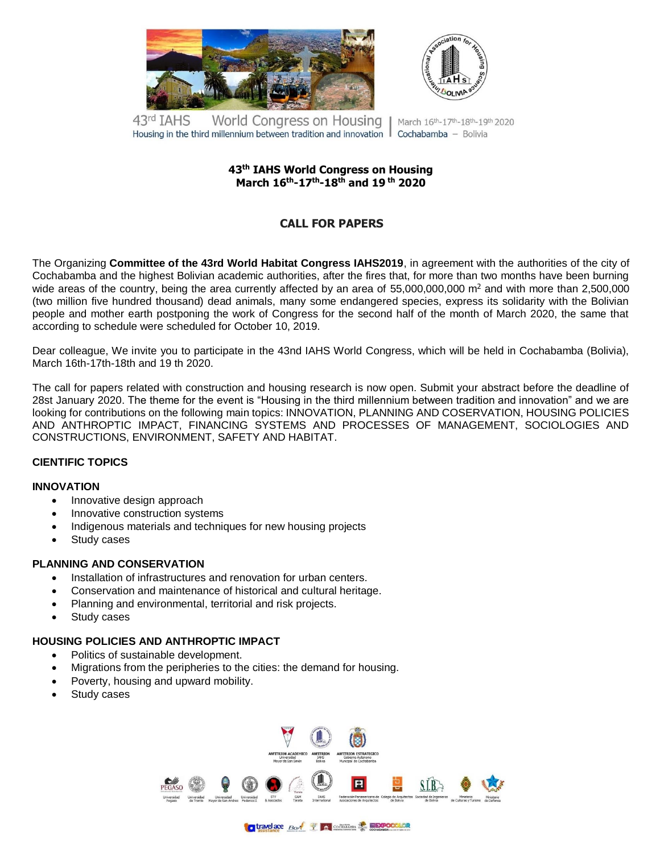



43rd TAHS World Congress on Housing March 16th-17th-18th-19th 2020 Housing in the third millennium between tradition and innovation  $\parallel$  Cochabamba – Bolivia

## **43 th IAHS World Congress on Housing March 16 th-17 th-18 th and 19 th 2020**

# **CALL FOR PAPERS**

The Organizing **Committee of the 43rd World Habitat Congress IAHS2019**, in agreement with the authorities of the city of Cochabamba and the highest Bolivian academic authorities, after the fires that, for more than two months have been burning wide areas of the country, being the area currently affected by an area of 55,000,000,000  $m<sup>2</sup>$  and with more than 2,500,000 (two million five hundred thousand) dead animals, many some endangered species, express its solidarity with the Bolivian people and mother earth postponing the work of Congress for the second half of the month of March 2020, the same that according to schedule were scheduled for October 10, 2019.

Dear colleague, We invite you to participate in the 43nd IAHS World Congress, which will be held in Cochabamba (Bolivia), March 16th-17th-18th and 19 th 2020.

The call for papers related with construction and housing research is now open. Submit your abstract before the deadline of 28st January 2020. The theme for the event is "Housing in the third millennium between tradition and innovation" and we are looking for contributions on the following main topics: INNOVATION, PLANNING AND COSERVATION, HOUSING POLICIES AND ANTHROPTIC IMPACT, FINANCING SYSTEMS AND PROCESSES OF MANAGEMENT, SOCIOLOGIES AND CONSTRUCTIONS, ENVIRONMENT, SAFETY AND HABITAT.

## **CIENTIFIC TOPICS**

#### **INNOVATION**

- Innovative design approach
- Innovative construction systems
- Indigenous materials and techniques for new housing projects
- Study cases

# **PLANNING AND CONSERVATION**

- Installation of infrastructures and renovation for urban centers.
- Conservation and maintenance of historical and cultural heritage.
- Planning and environmental, territorial and risk projects.
- Study cases

# **HOUSING POLICIES AND ANTHROPTIC IMPACT**

- Politics of sustainable development.
- Migrations from the peripheries to the cities: the demand for housing.
- Poverty, housing and upward mobility.
- Study cases